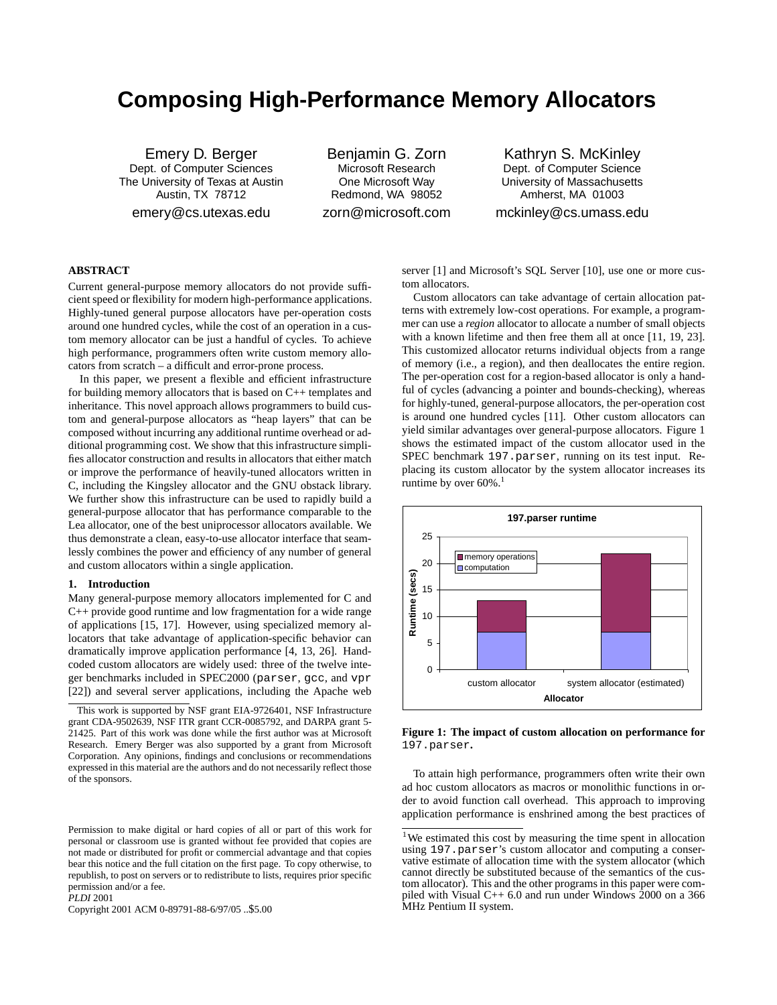# **Composing High-Performance Memory Allocators**

Emery D. Berger Dept. of Computer Sciences The University of Texas at Austin Austin, TX 78712 emery@cs.utexas.edu

Benjamin G. Zorn Microsoft Research One Microsoft Way Redmond, WA 98052 zorn@microsoft.com

Kathryn S. McKinley Dept. of Computer Science University of Massachusetts Amherst, MA 01003 mckinley@cs.umass.edu

# **ABSTRACT**

Current general-purpose memory allocators do not provide sufficient speed or flexibility for modern high-performance applications. Highly-tuned general purpose allocators have per-operation costs around one hundred cycles, while the cost of an operation in a custom memory allocator can be just a handful of cycles. To achieve high performance, programmers often write custom memory allocators from scratch – a difficult and error-prone process.

In this paper, we present a flexible and efficient infrastructure for building memory allocators that is based on C++ templates and inheritance. This novel approach allows programmers to build custom and general-purpose allocators as "heap layers" that can be composed without incurring any additional runtime overhead or additional programming cost. We show that this infrastructure simplifies allocator construction and results in allocators that either match or improve the performance of heavily-tuned allocators written in C, including the Kingsley allocator and the GNU obstack library. We further show this infrastructure can be used to rapidly build a general-purpose allocator that has performance comparable to the Lea allocator, one of the best uniprocessor allocators available. We thus demonstrate a clean, easy-to-use allocator interface that seamlessly combines the power and efficiency of any number of general and custom allocators within a single application.

## **1. Introduction**

Many general-purpose memory allocators implemented for C and C++ provide good runtime and low fragmentation for a wide range of applications [15, 17]. However, using specialized memory allocators that take advantage of application-specific behavior can dramatically improve application performance [4, 13, 26]. Handcoded custom allocators are widely used: three of the twelve integer benchmarks included in SPEC2000 (parser, gcc, and vpr [22]) and several server applications, including the Apache web

This work is supported by NSF grant EIA-9726401, NSF Infrastructure grant CDA-9502639, NSF ITR grant CCR-0085792, and DARPA grant 5- 21425. Part of this work was done while the first author was at Microsoft Research. Emery Berger was also supported by a grant from Microsoft Corporation. Any opinions, findings and conclusions or recommendations expressed in this material are the authors and do not necessarily reflect those of the sponsors.

Permission to make digital or hard copies of all or part of this work for personal or classroom use is granted without fee provided that copies are not made or distributed for profit or commercial advantage and that copies bear this notice and the full citation on the first page. To copy otherwise, to republish, to post on servers or to redistribute to lists, requires prior specific permission and/or a fee.

*PLDI* 2001

Copyright 2001 ACM 0-89791-88-6/97/05 ..\$5.00

server [1] and Microsoft's SQL Server [10], use one or more custom allocators.

Custom allocators can take advantage of certain allocation patterns with extremely low-cost operations. For example, a programmer can use a *region* allocator to allocate a number of small objects with a known lifetime and then free them all at once [11, 19, 23]. This customized allocator returns individual objects from a range of memory (i.e., a region), and then deallocates the entire region. The per-operation cost for a region-based allocator is only a handful of cycles (advancing a pointer and bounds-checking), whereas for highly-tuned, general-purpose allocators, the per-operation cost is around one hundred cycles [11]. Other custom allocators can yield similar advantages over general-purpose allocators. Figure 1 shows the estimated impact of the custom allocator used in the SPEC benchmark 197.parser, running on its test input. Replacing its custom allocator by the system allocator increases its runtime by over  $60\%$ .<sup>1</sup>



**Figure 1: The impact of custom allocation on performance for** 197.parser**.**

To attain high performance, programmers often write their own ad hoc custom allocators as macros or monolithic functions in order to avoid function call overhead. This approach to improving application performance is enshrined among the best practices of

<sup>&</sup>lt;sup>1</sup>We estimated this cost by measuring the time spent in allocation using 197.parser's custom allocator and computing a conservative estimate of allocation time with the system allocator (which cannot directly be substituted because of the semantics of the custom allocator). This and the other programs in this paper were compiled with Visual C++ 6.0 and run under Windows  $2000$  on a 366 MHz Pentium II system.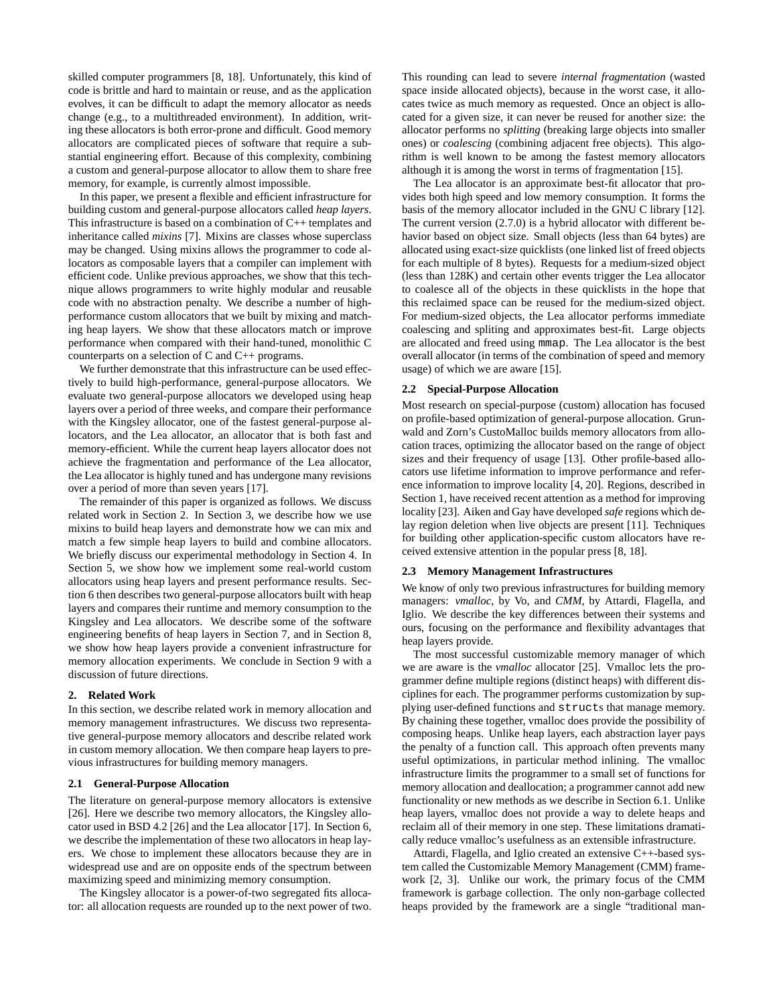skilled computer programmers [8, 18]. Unfortunately, this kind of code is brittle and hard to maintain or reuse, and as the application evolves, it can be difficult to adapt the memory allocator as needs change (e.g., to a multithreaded environment). In addition, writing these allocators is both error-prone and difficult. Good memory allocators are complicated pieces of software that require a substantial engineering effort. Because of this complexity, combining a custom and general-purpose allocator to allow them to share free memory, for example, is currently almost impossible.

In this paper, we present a flexible and efficient infrastructure for building custom and general-purpose allocators called *heap layers*. This infrastructure is based on a combination of C++ templates and inheritance called *mixins* [7]. Mixins are classes whose superclass may be changed. Using mixins allows the programmer to code allocators as composable layers that a compiler can implement with efficient code. Unlike previous approaches, we show that this technique allows programmers to write highly modular and reusable code with no abstraction penalty. We describe a number of highperformance custom allocators that we built by mixing and matching heap layers. We show that these allocators match or improve performance when compared with their hand-tuned, monolithic C counterparts on a selection of C and C++ programs.

We further demonstrate that this infrastructure can be used effectively to build high-performance, general-purpose allocators. We evaluate two general-purpose allocators we developed using heap layers over a period of three weeks, and compare their performance with the Kingsley allocator, one of the fastest general-purpose allocators, and the Lea allocator, an allocator that is both fast and memory-efficient. While the current heap layers allocator does not achieve the fragmentation and performance of the Lea allocator, the Lea allocator is highly tuned and has undergone many revisions over a period of more than seven years [17].

The remainder of this paper is organized as follows. We discuss related work in Section 2. In Section 3, we describe how we use mixins to build heap layers and demonstrate how we can mix and match a few simple heap layers to build and combine allocators. We briefly discuss our experimental methodology in Section 4. In Section 5, we show how we implement some real-world custom allocators using heap layers and present performance results. Section 6 then describes two general-purpose allocators built with heap layers and compares their runtime and memory consumption to the Kingsley and Lea allocators. We describe some of the software engineering benefits of heap layers in Section 7, and in Section 8, we show how heap layers provide a convenient infrastructure for memory allocation experiments. We conclude in Section 9 with a discussion of future directions.

#### **2. Related Work**

In this section, we describe related work in memory allocation and memory management infrastructures. We discuss two representative general-purpose memory allocators and describe related work in custom memory allocation. We then compare heap layers to previous infrastructures for building memory managers.

## **2.1 General-Purpose Allocation**

The literature on general-purpose memory allocators is extensive [26]. Here we describe two memory allocators, the Kingsley allocator used in BSD 4.2 [26] and the Lea allocator [17]. In Section 6, we describe the implementation of these two allocators in heap layers. We chose to implement these allocators because they are in widespread use and are on opposite ends of the spectrum between maximizing speed and minimizing memory consumption.

The Kingsley allocator is a power-of-two segregated fits allocator: all allocation requests are rounded up to the next power of two. This rounding can lead to severe *internal fragmentation* (wasted space inside allocated objects), because in the worst case, it allocates twice as much memory as requested. Once an object is allocated for a given size, it can never be reused for another size: the allocator performs no *splitting* (breaking large objects into smaller ones) or *coalescing* (combining adjacent free objects). This algorithm is well known to be among the fastest memory allocators although it is among the worst in terms of fragmentation [15].

The Lea allocator is an approximate best-fit allocator that provides both high speed and low memory consumption. It forms the basis of the memory allocator included in the GNU C library [12]. The current version (2.7.0) is a hybrid allocator with different behavior based on object size. Small objects (less than 64 bytes) are allocated using exact-size quicklists (one linked list of freed objects for each multiple of 8 bytes). Requests for a medium-sized object (less than 128K) and certain other events trigger the Lea allocator to coalesce all of the objects in these quicklists in the hope that this reclaimed space can be reused for the medium-sized object. For medium-sized objects, the Lea allocator performs immediate coalescing and spliting and approximates best-fit. Large objects are allocated and freed using mmap. The Lea allocator is the best overall allocator (in terms of the combination of speed and memory usage) of which we are aware [15].

# **2.2 Special-Purpose Allocation**

Most research on special-purpose (custom) allocation has focused on profile-based optimization of general-purpose allocation. Grunwald and Zorn's CustoMalloc builds memory allocators from allocation traces, optimizing the allocator based on the range of object sizes and their frequency of usage [13]. Other profile-based allocators use lifetime information to improve performance and reference information to improve locality [4, 20]. Regions, described in Section 1, have received recent attention as a method for improving locality [23]. Aiken and Gay have developed *safe* regions which delay region deletion when live objects are present [11]. Techniques for building other application-specific custom allocators have received extensive attention in the popular press [8, 18].

#### **2.3 Memory Management Infrastructures**

We know of only two previous infrastructures for building memory managers: *vmalloc*, by Vo, and *CMM*, by Attardi, Flagella, and Iglio. We describe the key differences between their systems and ours, focusing on the performance and flexibility advantages that heap layers provide.

The most successful customizable memory manager of which we are aware is the *vmalloc* allocator [25]. Vmalloc lets the programmer define multiple regions (distinct heaps) with different disciplines for each. The programmer performs customization by supplying user-defined functions and structs that manage memory. By chaining these together, vmalloc does provide the possibility of composing heaps. Unlike heap layers, each abstraction layer pays the penalty of a function call. This approach often prevents many useful optimizations, in particular method inlining. The vmalloc infrastructure limits the programmer to a small set of functions for memory allocation and deallocation; a programmer cannot add new functionality or new methods as we describe in Section 6.1. Unlike heap layers, vmalloc does not provide a way to delete heaps and reclaim all of their memory in one step. These limitations dramatically reduce vmalloc's usefulness as an extensible infrastructure.

Attardi, Flagella, and Iglio created an extensive C++-based system called the Customizable Memory Management (CMM) framework [2, 3]. Unlike our work, the primary focus of the CMM framework is garbage collection. The only non-garbage collected heaps provided by the framework are a single "traditional man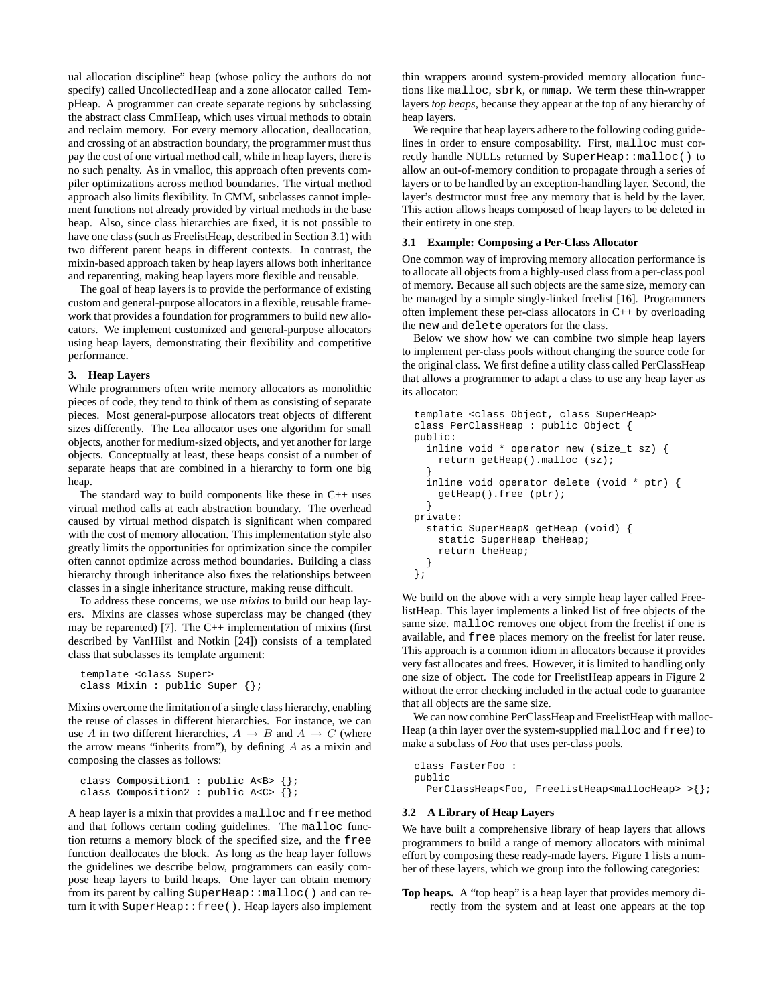ual allocation discipline" heap (whose policy the authors do not specify) called UncollectedHeap and a zone allocator called TempHeap. A programmer can create separate regions by subclassing the abstract class CmmHeap, which uses virtual methods to obtain and reclaim memory. For every memory allocation, deallocation, and crossing of an abstraction boundary, the programmer must thus pay the cost of one virtual method call, while in heap layers, there is no such penalty. As in vmalloc, this approach often prevents compiler optimizations across method boundaries. The virtual method approach also limits flexibility. In CMM, subclasses cannot implement functions not already provided by virtual methods in the base heap. Also, since class hierarchies are fixed, it is not possible to have one class (such as FreelistHeap, described in Section 3.1) with two different parent heaps in different contexts. In contrast, the mixin-based approach taken by heap layers allows both inheritance and reparenting, making heap layers more flexible and reusable.

The goal of heap layers is to provide the performance of existing custom and general-purpose allocators in a flexible, reusable framework that provides a foundation for programmers to build new allocators. We implement customized and general-purpose allocators using heap layers, demonstrating their flexibility and competitive performance.

## **3. Heap Layers**

While programmers often write memory allocators as monolithic pieces of code, they tend to think of them as consisting of separate pieces. Most general-purpose allocators treat objects of different sizes differently. The Lea allocator uses one algorithm for small objects, another for medium-sized objects, and yet another for large objects. Conceptually at least, these heaps consist of a number of separate heaps that are combined in a hierarchy to form one big heap.

The standard way to build components like these in  $C++$  uses virtual method calls at each abstraction boundary. The overhead caused by virtual method dispatch is significant when compared with the cost of memory allocation. This implementation style also greatly limits the opportunities for optimization since the compiler often cannot optimize across method boundaries. Building a class hierarchy through inheritance also fixes the relationships between classes in a single inheritance structure, making reuse difficult.

To address these concerns, we use *mixins* to build our heap layers. Mixins are classes whose superclass may be changed (they may be reparented) [7]. The C++ implementation of mixins (first described by VanHilst and Notkin [24]) consists of a templated class that subclasses its template argument:

```
template <class Super>
class Mixin : public Super {};
```
Mixins overcome the limitation of a single class hierarchy, enabling the reuse of classes in different hierarchies. For instance, we can use A in two different hierarchies,  $A \rightarrow B$  and  $A \rightarrow C$  (where the arrow means "inherits from"), by defining  $A$  as a mixin and composing the classes as follows:

```
class Composition1 : public A<B> {};
class Composition2 : public A<C> {};
```
A heap layer is a mixin that provides a malloc and free method and that follows certain coding guidelines. The malloc function returns a memory block of the specified size, and the free function deallocates the block. As long as the heap layer follows the guidelines we describe below, programmers can easily compose heap layers to build heaps. One layer can obtain memory from its parent by calling SuperHeap::malloc() and can return it with SuperHeap::free(). Heap layers also implement thin wrappers around system-provided memory allocation functions like malloc, sbrk, or mmap. We term these thin-wrapper layers *top heaps*, because they appear at the top of any hierarchy of heap layers.

We require that heap layers adhere to the following coding guidelines in order to ensure composability. First, malloc must correctly handle NULLs returned by SuperHeap::malloc() to allow an out-of-memory condition to propagate through a series of layers or to be handled by an exception-handling layer. Second, the layer's destructor must free any memory that is held by the layer. This action allows heaps composed of heap layers to be deleted in their entirety in one step.

## **3.1 Example: Composing a Per-Class Allocator**

One common way of improving memory allocation performance is to allocate all objects from a highly-used class from a per-class pool of memory. Because all such objects are the same size, memory can be managed by a simple singly-linked freelist [16]. Programmers often implement these per-class allocators in C++ by overloading the new and delete operators for the class.

Below we show how we can combine two simple heap layers to implement per-class pools without changing the source code for the original class. We first define a utility class called PerClassHeap that allows a programmer to adapt a class to use any heap layer as its allocator:

```
template <class Object, class SuperHeap>
class PerClassHeap : public Object {
public:
  inline void * operator new (size_t sz) {
    return getHeap().malloc (sz);
  }
  inline void operator delete (void * ptr) {
    getHeap().free (ptr);
  }
private:
  static SuperHeap& getHeap (void) {
    static SuperHeap theHeap;
    return theHeap;
  }
};
```
We build on the above with a very simple heap layer called FreelistHeap. This layer implements a linked list of free objects of the same size. malloc removes one object from the freelist if one is available, and free places memory on the freelist for later reuse. This approach is a common idiom in allocators because it provides very fast allocates and frees. However, it is limited to handling only one size of object. The code for FreelistHeap appears in Figure 2 without the error checking included in the actual code to guarantee that all objects are the same size.

We can now combine PerClassHeap and FreelistHeap with malloc-Heap (a thin layer over the system-supplied malloc and free) to make a subclass of *Foo* that uses per-class pools.

```
class FasterFoo :
public
  PerClassHeap<Foo, FreelistHeap<mallocHeap> >{};
```
#### **3.2 A Library of Heap Layers**

We have built a comprehensive library of heap layers that allows programmers to build a range of memory allocators with minimal effort by composing these ready-made layers. Figure 1 lists a number of these layers, which we group into the following categories:

**Top heaps.** A "top heap" is a heap layer that provides memory directly from the system and at least one appears at the top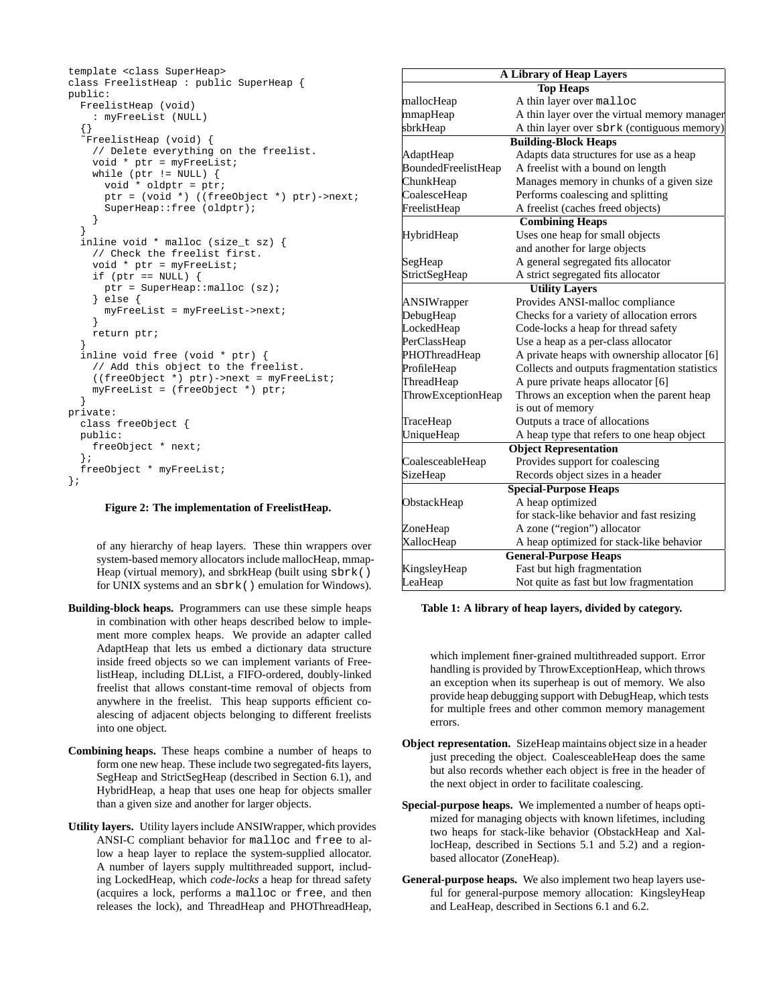```
template <class SuperHeap>
class FreelistHeap : public SuperHeap {
public:
  FreelistHeap (void)
    : myFreeList (NULL)
  {}
  ˜FreelistHeap (void) {
    // Delete everything on the freelist.
    void * ptr = myFreeList;
    while (ptr != NULL) {
      void * oldptr = ptr;
      ptr = (void *) ((freeObject *) ptr)->next;
      SuperHeap::free (oldptr);
    }
  }
  inline void * malloc (size_t sz) {
    // Check the freelist first.
    void * ptr = myFreeList;
    if (ptr == NULL) {
      ptr = SuperHeap::malloc (sz);
    } else {
      myFreeList = myFreeList->next;
    }
    return ptr;
  }
  inline void free (void * ptr) {
    // Add this object to the freelist.
    ((freeObject *) ptr)->next = myFreeList;
    myFreeList = (freeObject *) ptr;
  }
private:
  class freeObject {
  public:
   freeObject * next;
  };
  freeObject * myFreeList;
};
```
## **Figure 2: The implementation of FreelistHeap.**

of any hierarchy of heap layers. These thin wrappers over system-based memory allocators include mallocHeap, mmap-Heap (virtual memory), and sbrkHeap (built using sbrk() for UNIX systems and an sbrk() emulation for Windows).

- **Building-block heaps.** Programmers can use these simple heaps in combination with other heaps described below to implement more complex heaps. We provide an adapter called AdaptHeap that lets us embed a dictionary data structure inside freed objects so we can implement variants of FreelistHeap, including DLList, a FIFO-ordered, doubly-linked freelist that allows constant-time removal of objects from anywhere in the freelist. This heap supports efficient coalescing of adjacent objects belonging to different freelists into one object.
- **Combining heaps.** These heaps combine a number of heaps to form one new heap. These include two segregated-fits layers, SegHeap and StrictSegHeap (described in Section 6.1), and HybridHeap, a heap that uses one heap for objects smaller than a given size and another for larger objects.
- **Utility layers.** Utility layers include ANSIWrapper, which provides ANSI-C compliant behavior for malloc and free to allow a heap layer to replace the system-supplied allocator. A number of layers supply multithreaded support, including LockedHeap, which *code-locks* a heap for thread safety (acquires a lock, performs a malloc or free, and then releases the lock), and ThreadHeap and PHOThreadHeap,

| <b>A Library of Heap Layers</b>               |  |  |  |  |  |
|-----------------------------------------------|--|--|--|--|--|
| <b>Top Heaps</b>                              |  |  |  |  |  |
| A thin layer over malloc                      |  |  |  |  |  |
| A thin layer over the virtual memory manager  |  |  |  |  |  |
| A thin layer over sbrk (contiguous memory)    |  |  |  |  |  |
| <b>Building-Block Heaps</b>                   |  |  |  |  |  |
| Adapts data structures for use as a heap      |  |  |  |  |  |
| A freelist with a bound on length             |  |  |  |  |  |
| Manages memory in chunks of a given size      |  |  |  |  |  |
| Performs coalescing and splitting             |  |  |  |  |  |
| A freelist (caches freed objects)             |  |  |  |  |  |
| <b>Combining Heaps</b>                        |  |  |  |  |  |
| Uses one heap for small objects               |  |  |  |  |  |
| and another for large objects                 |  |  |  |  |  |
| A general segregated fits allocator           |  |  |  |  |  |
| A strict segregated fits allocator            |  |  |  |  |  |
| <b>Utility Layers</b>                         |  |  |  |  |  |
| Provides ANSI-malloc compliance               |  |  |  |  |  |
| Checks for a variety of allocation errors     |  |  |  |  |  |
| Code-locks a heap for thread safety           |  |  |  |  |  |
| Use a heap as a per-class allocator           |  |  |  |  |  |
| A private heaps with ownership allocator [6]  |  |  |  |  |  |
| Collects and outputs fragmentation statistics |  |  |  |  |  |
| A pure private heaps allocator [6]            |  |  |  |  |  |
| Throws an exception when the parent heap      |  |  |  |  |  |
| is out of memory                              |  |  |  |  |  |
| Outputs a trace of allocations                |  |  |  |  |  |
| A heap type that refers to one heap object    |  |  |  |  |  |
| <b>Object Representation</b>                  |  |  |  |  |  |
| Provides support for coalescing               |  |  |  |  |  |
| Records object sizes in a header              |  |  |  |  |  |
| <b>Special-Purpose Heaps</b>                  |  |  |  |  |  |
| A heap optimized                              |  |  |  |  |  |
| for stack-like behavior and fast resizing     |  |  |  |  |  |
| A zone ("region") allocator                   |  |  |  |  |  |
| A heap optimized for stack-like behavior      |  |  |  |  |  |
| <b>General-Purpose Heaps</b>                  |  |  |  |  |  |
| Fast but high fragmentation                   |  |  |  |  |  |
| Not quite as fast but low fragmentation       |  |  |  |  |  |
|                                               |  |  |  |  |  |

#### **Table 1: A library of heap layers, divided by category.**

which implement finer-grained multithreaded support. Error handling is provided by ThrowExceptionHeap, which throws an exception when its superheap is out of memory. We also provide heap debugging support with DebugHeap, which tests for multiple frees and other common memory management errors.

- **Object representation.** SizeHeap maintains object size in a header just preceding the object. CoalesceableHeap does the same but also records whether each object is free in the header of the next object in order to facilitate coalescing.
- **Special-purpose heaps.** We implemented a number of heaps optimized for managing objects with known lifetimes, including two heaps for stack-like behavior (ObstackHeap and XallocHeap, described in Sections 5.1 and 5.2) and a regionbased allocator (ZoneHeap).
- **General-purpose heaps.** We also implement two heap layers useful for general-purpose memory allocation: KingsleyHeap and LeaHeap, described in Sections 6.1 and 6.2.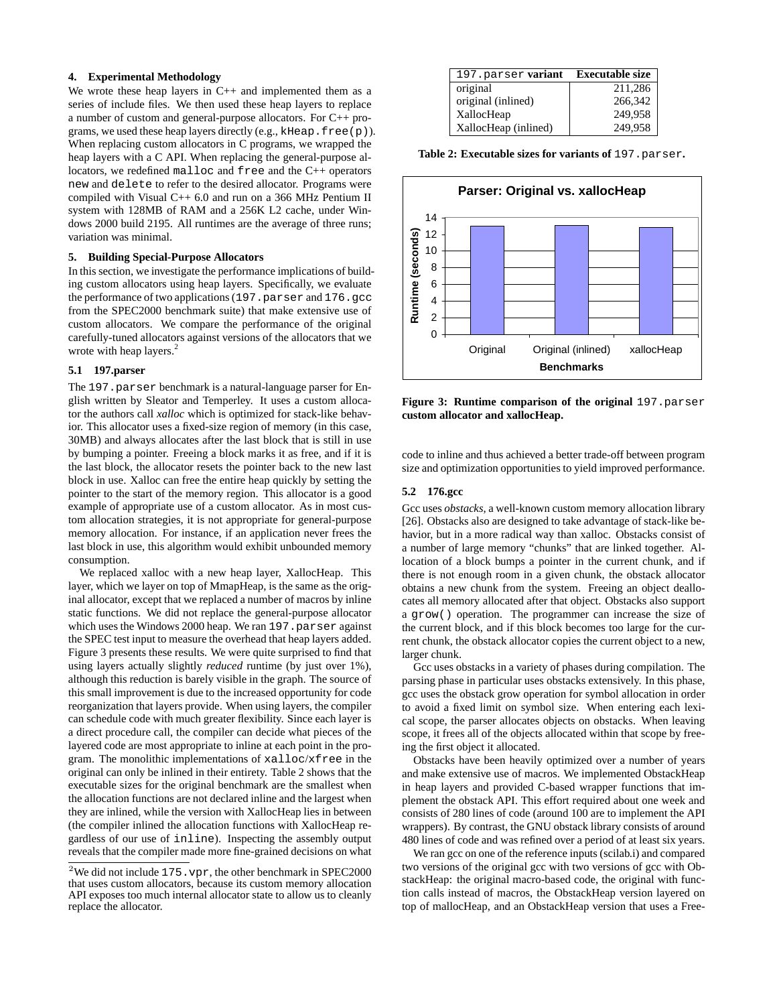# **4. Experimental Methodology**

We wrote these heap layers in  $C++$  and implemented them as a series of include files. We then used these heap layers to replace a number of custom and general-purpose allocators. For C++ programs, we used these heap layers directly (e.g., kHeap.free(p)). When replacing custom allocators in C programs, we wrapped the heap layers with a C API. When replacing the general-purpose allocators, we redefined malloc and free and the C++ operators new and delete to refer to the desired allocator. Programs were compiled with Visual C++ 6.0 and run on a 366 MHz Pentium II system with 128MB of RAM and a 256K L2 cache, under Windows 2000 build 2195. All runtimes are the average of three runs; variation was minimal.

### **5. Building Special-Purpose Allocators**

In this section, we investigate the performance implications of building custom allocators using heap layers. Specifically, we evaluate the performance of two applications (197.parser and 176.gcc from the SPEC2000 benchmark suite) that make extensive use of custom allocators. We compare the performance of the original carefully-tuned allocators against versions of the allocators that we wrote with heap layers.<sup>2</sup>

## **5.1 197.parser**

The 197.parser benchmark is a natural-language parser for English written by Sleator and Temperley. It uses a custom allocator the authors call *xalloc* which is optimized for stack-like behavior. This allocator uses a fixed-size region of memory (in this case, 30MB) and always allocates after the last block that is still in use by bumping a pointer. Freeing a block marks it as free, and if it is the last block, the allocator resets the pointer back to the new last block in use. Xalloc can free the entire heap quickly by setting the pointer to the start of the memory region. This allocator is a good example of appropriate use of a custom allocator. As in most custom allocation strategies, it is not appropriate for general-purpose memory allocation. For instance, if an application never frees the last block in use, this algorithm would exhibit unbounded memory consumption.

We replaced xalloc with a new heap layer, XallocHeap. This layer, which we layer on top of MmapHeap, is the same as the original allocator, except that we replaced a number of macros by inline static functions. We did not replace the general-purpose allocator which uses the Windows 2000 heap. We ran 197. parser against the SPEC test input to measure the overhead that heap layers added. Figure 3 presents these results. We were quite surprised to find that using layers actually slightly *reduced* runtime (by just over 1%), although this reduction is barely visible in the graph. The source of this small improvement is due to the increased opportunity for code reorganization that layers provide. When using layers, the compiler can schedule code with much greater flexibility. Since each layer is a direct procedure call, the compiler can decide what pieces of the layered code are most appropriate to inline at each point in the program. The monolithic implementations of xalloc/xfree in the original can only be inlined in their entirety. Table 2 shows that the executable sizes for the original benchmark are the smallest when the allocation functions are not declared inline and the largest when they are inlined, while the version with XallocHeap lies in between (the compiler inlined the allocation functions with XallocHeap regardless of our use of inline). Inspecting the assembly output reveals that the compiler made more fine-grained decisions on what

| 197. parser variant  | <b>Executable size</b> |
|----------------------|------------------------|
| original             | 211,286                |
| original (inlined)   | 266,342                |
| XallocHeap           | 249,958                |
| XallocHeap (inlined) | 249,958                |

**Table 2: Executable sizes for variants of** 197.parser**.**



**Figure 3: Runtime comparison of the original** 197.parser **custom allocator and xallocHeap.**

code to inline and thus achieved a better trade-off between program size and optimization opportunities to yield improved performance.

## **5.2 176.gcc**

Gcc uses *obstacks*, a well-known custom memory allocation library [26]. Obstacks also are designed to take advantage of stack-like behavior, but in a more radical way than xalloc. Obstacks consist of a number of large memory "chunks" that are linked together. Allocation of a block bumps a pointer in the current chunk, and if there is not enough room in a given chunk, the obstack allocator obtains a new chunk from the system. Freeing an object deallocates all memory allocated after that object. Obstacks also support a grow() operation. The programmer can increase the size of the current block, and if this block becomes too large for the current chunk, the obstack allocator copies the current object to a new, larger chunk.

Gcc uses obstacks in a variety of phases during compilation. The parsing phase in particular uses obstacks extensively. In this phase, gcc uses the obstack grow operation for symbol allocation in order to avoid a fixed limit on symbol size. When entering each lexical scope, the parser allocates objects on obstacks. When leaving scope, it frees all of the objects allocated within that scope by freeing the first object it allocated.

Obstacks have been heavily optimized over a number of years and make extensive use of macros. We implemented ObstackHeap in heap layers and provided C-based wrapper functions that implement the obstack API. This effort required about one week and consists of 280 lines of code (around 100 are to implement the API wrappers). By contrast, the GNU obstack library consists of around 480 lines of code and was refined over a period of at least six years.

We ran gcc on one of the reference inputs (scilab.i) and compared two versions of the original gcc with two versions of gcc with ObstackHeap: the original macro-based code, the original with function calls instead of macros, the ObstackHeap version layered on top of mallocHeap, and an ObstackHeap version that uses a Free-

<sup>&</sup>lt;sup>2</sup>We did not include 175. vpr, the other benchmark in SPEC2000 that uses custom allocators, because its custom memory allocation API exposes too much internal allocator state to allow us to cleanly replace the allocator.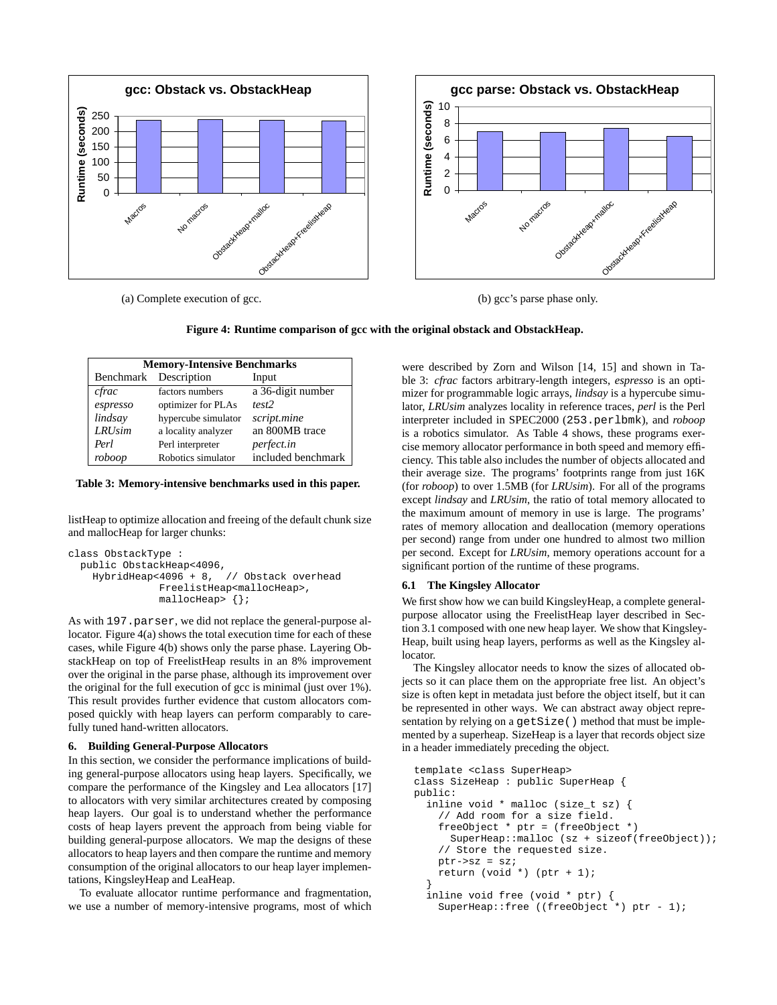



(a) Complete execution of gcc.

(b) gcc's parse phase only.

**Figure 4: Runtime comparison of gcc with the original obstack and ObstackHeap.**

| <b>Memory-Intensive Benchmarks</b> |                     |                    |  |  |
|------------------------------------|---------------------|--------------------|--|--|
| Benchmark                          | Description         | Input              |  |  |
| cfrac                              | factors numbers     | a 36-digit number  |  |  |
| espresso                           | optimizer for PLAs  | test2              |  |  |
| lindsay                            | hypercube simulator | script.mine        |  |  |
| <b>LRUsim</b>                      | a locality analyzer | an 800MB trace     |  |  |
| Perl                               | Perl interpreter    | perfect.in         |  |  |
| roboop                             | Robotics simulator  | included benchmark |  |  |

**Table 3: Memory-intensive benchmarks used in this paper.**

listHeap to optimize allocation and freeing of the default chunk size and mallocHeap for larger chunks:

```
class ObstackType :
 public ObstackHeap<4096,
   HybridHeap<4096 + 8, // Obstack overhead
               FreelistHeap<mallocHeap>,
               mallocHeap> {};
```
As with 197.parser, we did not replace the general-purpose allocator. Figure 4(a) shows the total execution time for each of these cases, while Figure 4(b) shows only the parse phase. Layering ObstackHeap on top of FreelistHeap results in an 8% improvement over the original in the parse phase, although its improvement over the original for the full execution of gcc is minimal (just over 1%). This result provides further evidence that custom allocators composed quickly with heap layers can perform comparably to carefully tuned hand-written allocators.

## **6. Building General-Purpose Allocators**

In this section, we consider the performance implications of building general-purpose allocators using heap layers. Specifically, we compare the performance of the Kingsley and Lea allocators [17] to allocators with very similar architectures created by composing heap layers. Our goal is to understand whether the performance costs of heap layers prevent the approach from being viable for building general-purpose allocators. We map the designs of these allocators to heap layers and then compare the runtime and memory consumption of the original allocators to our heap layer implementations, KingsleyHeap and LeaHeap.

To evaluate allocator runtime performance and fragmentation, we use a number of memory-intensive programs, most of which

were described by Zorn and Wilson [14, 15] and shown in Table 3: *cfrac* factors arbitrary-length integers, *espresso* is an optimizer for programmable logic arrays, *lindsay* is a hypercube simulator, *LRUsim* analyzes locality in reference traces, *perl* is the Perl interpreter included in SPEC2000 (253.perlbmk), and *roboop* is a robotics simulator. As Table 4 shows, these programs exercise memory allocator performance in both speed and memory efficiency. This table also includes the number of objects allocated and their average size. The programs' footprints range from just 16K (for *roboop*) to over 1.5MB (for *LRUsim*). For all of the programs except *lindsay* and *LRUsim*, the ratio of total memory allocated to the maximum amount of memory in use is large. The programs' rates of memory allocation and deallocation (memory operations per second) range from under one hundred to almost two million per second. Except for *LRUsim*, memory operations account for a significant portion of the runtime of these programs.

#### **6.1 The Kingsley Allocator**

We first show how we can build KingsleyHeap, a complete generalpurpose allocator using the FreelistHeap layer described in Section 3.1 composed with one new heap layer. We show that Kingsley-Heap, built using heap layers, performs as well as the Kingsley allocator.

The Kingsley allocator needs to know the sizes of allocated objects so it can place them on the appropriate free list. An object's size is often kept in metadata just before the object itself, but it can be represented in other ways. We can abstract away object representation by relying on a getSize() method that must be implemented by a superheap. SizeHeap is a layer that records object size in a header immediately preceding the object.

```
template <class SuperHeap>
class SizeHeap : public SuperHeap {
public:
  inline void * malloc (size_t sz) {
    // Add room for a size field.
    freeObject * ptr = (freeObject *)
      SuperHeap::malloc (sz + sizeof(freeObject));
    // Store the requested size.
    ptr->sz = sz;return (void *) (ptr + 1);
  }
  inline void free (void * ptr) {
    SuperHeap::free ((freeObject *) ptr - 1);
```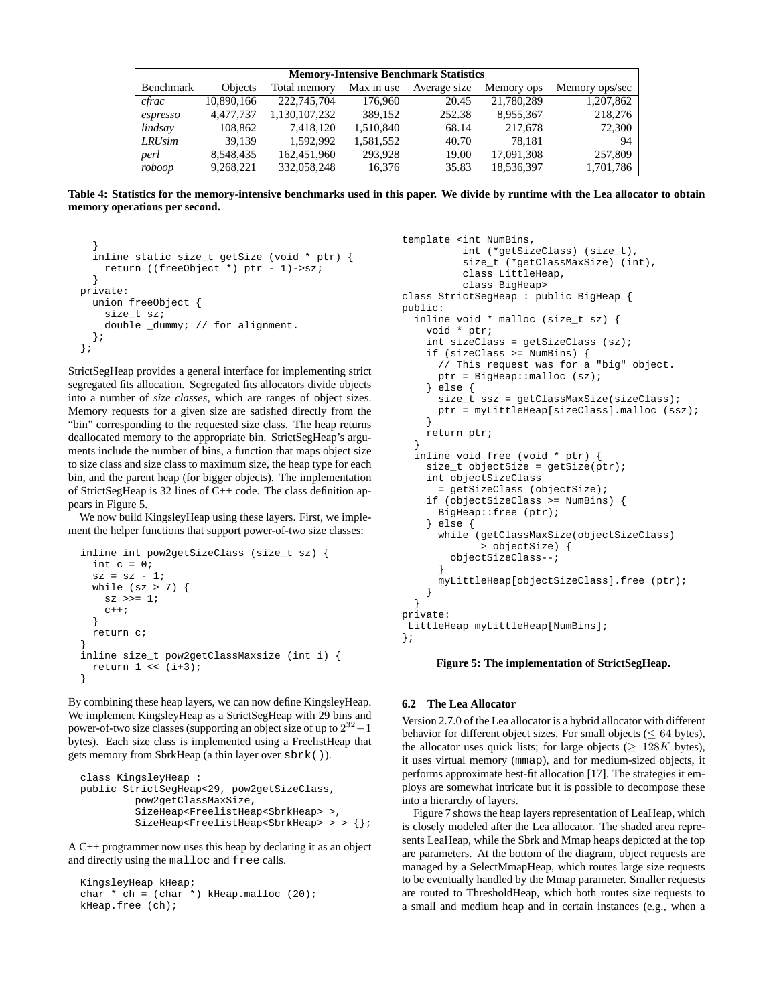| <b>Memory-Intensive Benchmark Statistics</b> |            |               |            |              |            |                |
|----------------------------------------------|------------|---------------|------------|--------------|------------|----------------|
| Benchmark                                    | Objects    | Total memory  | Max in use | Average size | Memory ops | Memory ops/sec |
| cfrac                                        | 10,890,166 | 222,745,704   | 176,960    | 20.45        | 21,780,289 | 1,207,862      |
| espresso                                     | 4,477,737  | 1,130,107,232 | 389.152    | 252.38       | 8,955,367  | 218,276        |
| lindsay                                      | 108.862    | 7,418,120     | 1,510,840  | 68.14        | 217,678    | 72,300         |
| <b>LRUsim</b>                                | 39.139     | 1.592.992     | 1,581,552  | 40.70        | 78.181     | 94             |
| perl                                         | 8,548,435  | 162.451.960   | 293.928    | 19.00        | 17,091,308 | 257,809        |
| roboop                                       | 9,268,221  | 332,058,248   | 16,376     | 35.83        | 18,536,397 | 1,701,786      |

**Table 4: Statistics for the memory-intensive benchmarks used in this paper. We divide by runtime with the Lea allocator to obtain memory operations per second.**

```
}
  inline static size_t getSize (void * ptr) {
   return ((freeObject *) ptr - 1)->sz;
  }
private:
 union freeObject {
    size_t sz;
    double _dummy; // for alignment.
  };
};
```
StrictSegHeap provides a general interface for implementing strict segregated fits allocation. Segregated fits allocators divide objects into a number of *size classes*, which are ranges of object sizes. Memory requests for a given size are satisfied directly from the "bin" corresponding to the requested size class. The heap returns deallocated memory to the appropriate bin. StrictSegHeap's arguments include the number of bins, a function that maps object size to size class and size class to maximum size, the heap type for each bin, and the parent heap (for bigger objects). The implementation of StrictSegHeap is 32 lines of C++ code. The class definition appears in Figure 5.

We now build KingsleyHeap using these layers. First, we implement the helper functions that support power-of-two size classes:

```
inline int pow2getSizeClass (size_t sz) {
  int c = 0;
 sz = sz - 1;while (sz > 7) {
   sz \gg= 1;C++;}
 return c;
}
inline size_t pow2getClassMaxsize (int i) {
 return 1 \leq (i+3);
}
```
By combining these heap layers, we can now define KingsleyHeap. We implement KingsleyHeap as a StrictSegHeap with 29 bins and power-of-two size classes (supporting an object size of up to  $2^{32} - 1$ bytes). Each size class is implemented using a FreelistHeap that gets memory from SbrkHeap (a thin layer over sbrk()).

```
class KingsleyHeap :
public StrictSegHeap<29, pow2getSizeClass,
         pow2getClassMaxSize,
         SizeHeap<FreelistHeap<SbrkHeap> >,
         SizeHeap<FreelistHeap<SbrkHeap> > > {};
```
A C++ programmer now uses this heap by declaring it as an object and directly using the malloc and free calls.

```
KingsleyHeap kHeap;
char * ch = (char *) kHeap.malloc (20);
kHeap.free (ch);
```

```
template <int NumBins,
          int (*getSizeClass) (size_t),
          size_t (*getClassMaxSize) (int),
          class LittleHeap,
          class BigHeap>
class StrictSegHeap : public BigHeap {
public:
  inline void * malloc (size_t sz) {
    void * ptr;
    int sizeClass = getSizeClass (sz);
    if (sizeClass >= NumBins) {
      // This request was for a "big" object.
      ptr = BigHeap::malloc (sz);
    } else {
      size_t ssz = getClassMaxSize(sizeClass);
      ptr = myLittleHeap[sizeClass].malloc (ssz);
    }
    return ptr;
  }
  inline void free (void * ptr) {
    size_t objectSize = getSize(ptr);
    int objectSizeClass
      = getSizeClass (objectSize);
    if (objectSizeClass >= NumBins) {
     BigHeap::free (ptr);
    } else {
      while (getClassMaxSize(objectSizeClass)
             > objectSize) {
        objectSizeClass--;
      }
      myLittleHeap[objectSizeClass].free (ptr);
    }
  }
private:
LittleHeap myLittleHeap[NumBins];
```
};

## **Figure 5: The implementation of StrictSegHeap.**

# **6.2 The Lea Allocator**

Version 2.7.0 of the Lea allocator is a hybrid allocator with different behavior for different object sizes. For small objects ( $\leq 64$  bytes), the allocator uses quick lists; for large objects ( $> 128K$  bytes), it uses virtual memory (mmap), and for medium-sized objects, it performs approximate best-fit allocation [17]. The strategies it employs are somewhat intricate but it is possible to decompose these into a hierarchy of layers.

Figure 7 shows the heap layers representation of LeaHeap, which is closely modeled after the Lea allocator. The shaded area represents LeaHeap, while the Sbrk and Mmap heaps depicted at the top are parameters. At the bottom of the diagram, object requests are managed by a SelectMmapHeap, which routes large size requests to be eventually handled by the Mmap parameter. Smaller requests are routed to ThresholdHeap, which both routes size requests to a small and medium heap and in certain instances (e.g., when a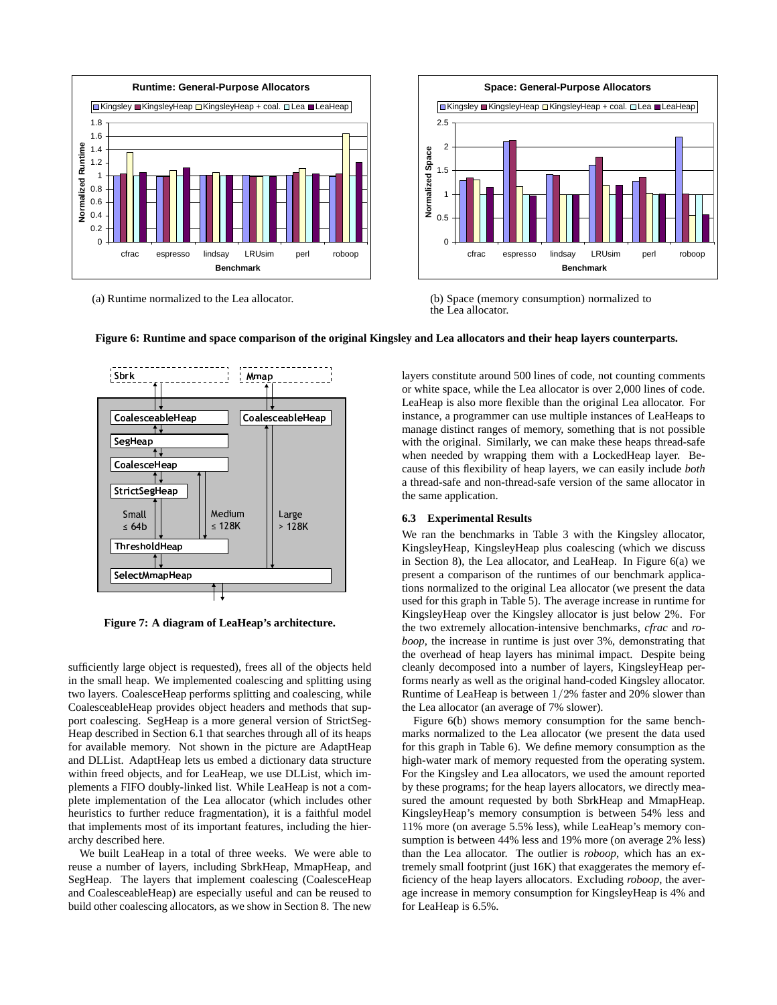

(a) Runtime normalized to the Lea allocator.



(b) Space (memory consumption) normalized to the Lea allocator.



 

**Figure 6: Runtime and space comparison of the original Kingsley and Lea allocators and their heap layers counterparts.**

**Figure 7: A diagram of LeaHeap's architecture.**

sufficiently large object is requested), frees all of the objects held in the small heap. We implemented coalescing and splitting using two layers. CoalesceHeap performs splitting and coalescing, while CoalesceableHeap provides object headers and methods that support coalescing. SegHeap is a more general version of StrictSeg-Heap described in Section 6.1 that searches through all of its heaps for available memory. Not shown in the picture are AdaptHeap and DLList. AdaptHeap lets us embed a dictionary data structure within freed objects, and for LeaHeap, we use DLList, which implements a FIFO doubly-linked list. While LeaHeap is not a complete implementation of the Lea allocator (which includes other heuristics to further reduce fragmentation), it is a faithful model that implements most of its important features, including the hierarchy described here.

We built LeaHeap in a total of three weeks. We were able to reuse a number of layers, including SbrkHeap, MmapHeap, and SegHeap. The layers that implement coalescing (CoalesceHeap and CoalesceableHeap) are especially useful and can be reused to build other coalescing allocators, as we show in Section 8. The new

ap instance, a programmer can use multiple instances of LeaHeaps to layers constitute around 500 lines of code, not counting comments or white space, while the Lea allocator is over 2,000 lines of code. LeaHeap is also more flexible than the original Lea allocator. For manage distinct ranges of memory, something that is not possible with the original. Similarly, we can make these heaps thread-safe when needed by wrapping them with a LockedHeap layer. Because of this flexibility of heap layers, we can easily include *both* a thread-safe and non-thread-safe version of the same allocator in the same application.

# **6.3 Experimental Results**

We ran the benchmarks in Table 3 with the Kingsley allocator, KingsleyHeap, KingsleyHeap plus coalescing (which we discuss in Section 8), the Lea allocator, and LeaHeap. In Figure 6(a) we present a comparison of the runtimes of our benchmark applications normalized to the original Lea allocator (we present the data used for this graph in Table 5). The average increase in runtime for KingsleyHeap over the Kingsley allocator is just below 2%. For the two extremely allocation-intensive benchmarks, *cfrac* and *roboop*, the increase in runtime is just over 3%, demonstrating that the overhead of heap layers has minimal impact. Despite being cleanly decomposed into a number of layers, KingsleyHeap performs nearly as well as the original hand-coded Kingsley allocator. Runtime of LeaHeap is between 1/2% faster and 20% slower than the Lea allocator (an average of 7% slower).

Figure 6(b) shows memory consumption for the same benchmarks normalized to the Lea allocator (we present the data used for this graph in Table 6). We define memory consumption as the high-water mark of memory requested from the operating system. For the Kingsley and Lea allocators, we used the amount reported by these programs; for the heap layers allocators, we directly measured the amount requested by both SbrkHeap and MmapHeap. KingsleyHeap's memory consumption is between 54% less and 11% more (on average 5.5% less), while LeaHeap's memory consumption is between 44% less and 19% more (on average 2% less) than the Lea allocator. The outlier is *roboop*, which has an extremely small footprint (just 16K) that exaggerates the memory efficiency of the heap layers allocators. Excluding *roboop*, the average increase in memory consumption for KingsleyHeap is 4% and for LeaHeap is 6.5%.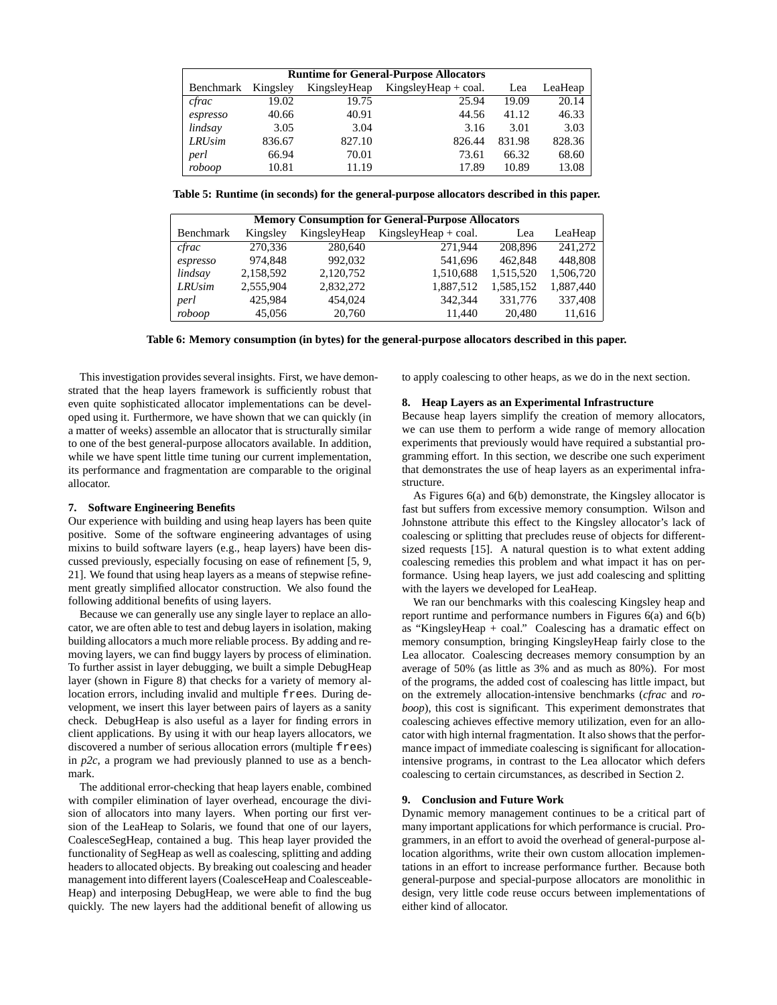| <b>Runtime for General-Purpose Allocators</b> |          |              |                        |        |         |
|-----------------------------------------------|----------|--------------|------------------------|--------|---------|
| Benchmark                                     | Kingsley | KingsleyHeap | KingsleyHeap $+$ coal. | Lea    | LeaHeap |
| cfrac                                         | 19.02    | 19.75        | 25.94                  | 19.09  | 20.14   |
| espresso                                      | 40.66    | 40.91        | 44.56                  | 41.12  | 46.33   |
| lindsay                                       | 3.05     | 3.04         | 3.16                   | 3.01   | 3.03    |
| <b>LRUsim</b>                                 | 836.67   | 827.10       | 826.44                 | 831.98 | 828.36  |
| perl                                          | 66.94    | 70.01        | 73.61                  | 66.32  | 68.60   |
| roboop                                        | 10.81    | 11.19        | 17.89                  | 10.89  | 13.08   |

**Table 5: Runtime (in seconds) for the general-purpose allocators described in this paper.**

| <b>Memory Consumption for General-Purpose Allocators</b> |           |              |                        |           |           |  |
|----------------------------------------------------------|-----------|--------------|------------------------|-----------|-----------|--|
| <b>Benchmark</b>                                         | Kingsley  | KingsleyHeap | KingsleyHeap $+$ coal. | Lea       | LeaHeap   |  |
| cfrac                                                    | 270.336   | 280,640      | 271.944                | 208,896   | 241,272   |  |
| espresso                                                 | 974.848   | 992.032      | 541,696                | 462,848   | 448,808   |  |
| lindsay                                                  | 2,158,592 | 2,120,752    | 1,510,688              | 1,515,520 | 1,506,720 |  |
| <b>LRUsim</b>                                            | 2,555,904 | 2,832,272    | 1,887,512              | 1,585,152 | 1,887,440 |  |
| perl                                                     | 425.984   | 454,024      | 342,344                | 331,776   | 337,408   |  |
| roboop                                                   | 45,056    | 20,760       | 11.440                 | 20,480    | 11,616    |  |

**Table 6: Memory consumption (in bytes) for the general-purpose allocators described in this paper.**

This investigation provides several insights. First, we have demonstrated that the heap layers framework is sufficiently robust that even quite sophisticated allocator implementations can be developed using it. Furthermore, we have shown that we can quickly (in a matter of weeks) assemble an allocator that is structurally similar to one of the best general-purpose allocators available. In addition, while we have spent little time tuning our current implementation, its performance and fragmentation are comparable to the original allocator.

## **7. Software Engineering Benefits**

Our experience with building and using heap layers has been quite positive. Some of the software engineering advantages of using mixins to build software layers (e.g., heap layers) have been discussed previously, especially focusing on ease of refinement [5, 9, 21]. We found that using heap layers as a means of stepwise refinement greatly simplified allocator construction. We also found the following additional benefits of using layers.

Because we can generally use any single layer to replace an allocator, we are often able to test and debug layers in isolation, making building allocators a much more reliable process. By adding and removing layers, we can find buggy layers by process of elimination. To further assist in layer debugging, we built a simple DebugHeap layer (shown in Figure 8) that checks for a variety of memory allocation errors, including invalid and multiple frees. During development, we insert this layer between pairs of layers as a sanity check. DebugHeap is also useful as a layer for finding errors in client applications. By using it with our heap layers allocators, we discovered a number of serious allocation errors (multiple frees) in *p2c*, a program we had previously planned to use as a benchmark.

The additional error-checking that heap layers enable, combined with compiler elimination of layer overhead, encourage the division of allocators into many layers. When porting our first version of the LeaHeap to Solaris, we found that one of our layers, CoalesceSegHeap, contained a bug. This heap layer provided the functionality of SegHeap as well as coalescing, splitting and adding headers to allocated objects. By breaking out coalescing and header management into different layers (CoalesceHeap and Coalesceable-Heap) and interposing DebugHeap, we were able to find the bug quickly. The new layers had the additional benefit of allowing us to apply coalescing to other heaps, as we do in the next section.

## **8. Heap Layers as an Experimental Infrastructure**

Because heap layers simplify the creation of memory allocators, we can use them to perform a wide range of memory allocation experiments that previously would have required a substantial programming effort. In this section, we describe one such experiment that demonstrates the use of heap layers as an experimental infrastructure.

As Figures 6(a) and 6(b) demonstrate, the Kingsley allocator is fast but suffers from excessive memory consumption. Wilson and Johnstone attribute this effect to the Kingsley allocator's lack of coalescing or splitting that precludes reuse of objects for differentsized requests [15]. A natural question is to what extent adding coalescing remedies this problem and what impact it has on performance. Using heap layers, we just add coalescing and splitting with the layers we developed for LeaHeap.

We ran our benchmarks with this coalescing Kingsley heap and report runtime and performance numbers in Figures 6(a) and 6(b) as "KingsleyHeap + coal." Coalescing has a dramatic effect on memory consumption, bringing KingsleyHeap fairly close to the Lea allocator. Coalescing decreases memory consumption by an average of 50% (as little as 3% and as much as 80%). For most of the programs, the added cost of coalescing has little impact, but on the extremely allocation-intensive benchmarks (*cfrac* and *roboop*), this cost is significant. This experiment demonstrates that coalescing achieves effective memory utilization, even for an allocator with high internal fragmentation. It also shows that the performance impact of immediate coalescing is significant for allocationintensive programs, in contrast to the Lea allocator which defers coalescing to certain circumstances, as described in Section 2.

### **9. Conclusion and Future Work**

Dynamic memory management continues to be a critical part of many important applications for which performance is crucial. Programmers, in an effort to avoid the overhead of general-purpose allocation algorithms, write their own custom allocation implementations in an effort to increase performance further. Because both general-purpose and special-purpose allocators are monolithic in design, very little code reuse occurs between implementations of either kind of allocator.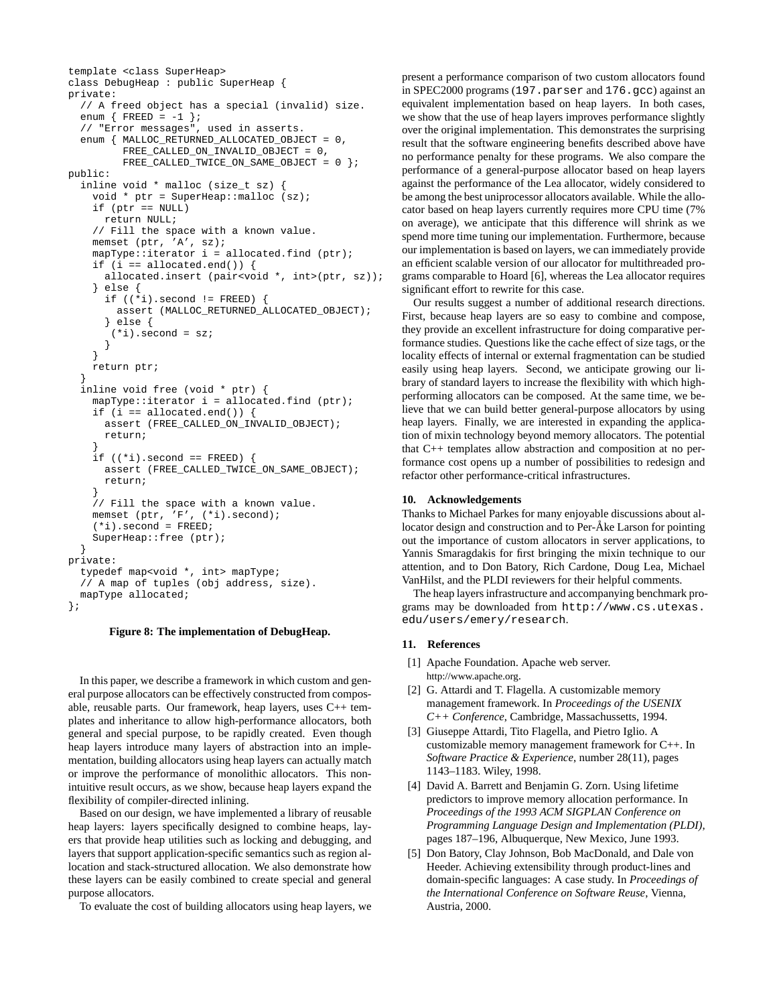```
template <class SuperHeap>
class DebugHeap : public SuperHeap {
private:
  // A freed object has a special (invalid) size.
  enum \{ FREED = -1 };
  // "Error messages", used in asserts.
  enum { MALLOC_RETURNED_ALLOCATED_OBJECT = 0,
         FREE_CALLED_ON_INVALID_OBJECT = 0,
         FREE_CALLED_TWICE_ON_SAME_OBJECT = 0 };
public:
  inline void * malloc (size_t sz) {
    void * ptr = SuperHeap::malloc (sz);
    if (ptr == NULL)return NULL;
    // Fill the space with a known value.
    memset (ptr, 'A', sz);
    mapType::iterator i = allocated.find (ptr);if (i == allocated.end()) {
      allocated.insert (pair<void *, int>(ptr, sz));
    } else {
      if ((*i) \cdot second := FREED) {
        assert (MALLOC_RETURNED_ALLOCATED_OBJECT);
      } else {
       (*i). second = sz;
      }
    }
    return ptr;
  }
  inline void free (void * ptr) {
    mapType::iterator i = allocated.find (ptr);if (i == allowed.end()) {
      assert (FREE_CALLED_ON_INVALID_OBJECT);
      return;
    }
    if ((*). second == FREED) {
      assert (FREE_CALLED_TWICE_ON_SAME_OBJECT);
      return;
    }
    // Fill the space with a known value.
    memset (ptr, 'F', (*i).second);
    (*i).second = FREED;
    SuperHeap::free (ptr);
  }
private:
  typedef map<void *, int> mapType;
  // A map of tuples (obj address, size).
  mapType allocated;
};
```
#### **Figure 8: The implementation of DebugHeap.**

In this paper, we describe a framework in which custom and general purpose allocators can be effectively constructed from composable, reusable parts. Our framework, heap layers, uses C++ templates and inheritance to allow high-performance allocators, both general and special purpose, to be rapidly created. Even though heap layers introduce many layers of abstraction into an implementation, building allocators using heap layers can actually match or improve the performance of monolithic allocators. This nonintuitive result occurs, as we show, because heap layers expand the flexibility of compiler-directed inlining.

Based on our design, we have implemented a library of reusable heap layers: layers specifically designed to combine heaps, layers that provide heap utilities such as locking and debugging, and layers that support application-specific semantics such as region allocation and stack-structured allocation. We also demonstrate how these layers can be easily combined to create special and general purpose allocators.

To evaluate the cost of building allocators using heap layers, we

present a performance comparison of two custom allocators found in SPEC2000 programs (197.parser and 176.gcc) against an equivalent implementation based on heap layers. In both cases, we show that the use of heap layers improves performance slightly over the original implementation. This demonstrates the surprising result that the software engineering benefits described above have no performance penalty for these programs. We also compare the performance of a general-purpose allocator based on heap layers against the performance of the Lea allocator, widely considered to be among the best uniprocessor allocators available. While the allocator based on heap layers currently requires more CPU time (7% on average), we anticipate that this difference will shrink as we spend more time tuning our implementation. Furthermore, because our implementation is based on layers, we can immediately provide an efficient scalable version of our allocator for multithreaded programs comparable to Hoard [6], whereas the Lea allocator requires significant effort to rewrite for this case.

Our results suggest a number of additional research directions. First, because heap layers are so easy to combine and compose, they provide an excellent infrastructure for doing comparative performance studies. Questions like the cache effect of size tags, or the locality effects of internal or external fragmentation can be studied easily using heap layers. Second, we anticipate growing our library of standard layers to increase the flexibility with which highperforming allocators can be composed. At the same time, we believe that we can build better general-purpose allocators by using heap layers. Finally, we are interested in expanding the application of mixin technology beyond memory allocators. The potential that C++ templates allow abstraction and composition at no performance cost opens up a number of possibilities to redesign and refactor other performance-critical infrastructures.

## **10. Acknowledgements**

Thanks to Michael Parkes for many enjoyable discussions about allocator design and construction and to Per-Åke Larson for pointing out the importance of custom allocators in server applications, to Yannis Smaragdakis for first bringing the mixin technique to our attention, and to Don Batory, Rich Cardone, Doug Lea, Michael VanHilst, and the PLDI reviewers for their helpful comments.

The heap layers infrastructure and accompanying benchmark programs may be downloaded from http://www.cs.utexas. edu/users/emery/research.

#### **11. References**

- [1] Apache Foundation. Apache web server. http://www.apache.org.
- [2] G. Attardi and T. Flagella. A customizable memory management framework. In *Proceedings of the USENIX C++ Conference*, Cambridge, Massachussetts, 1994.
- [3] Giuseppe Attardi, Tito Flagella, and Pietro Iglio. A customizable memory management framework for C++. In *Software Practice & Experience*, number 28(11), pages 1143–1183. Wiley, 1998.
- [4] David A. Barrett and Benjamin G. Zorn. Using lifetime predictors to improve memory allocation performance. In *Proceedings of the 1993 ACM SIGPLAN Conference on Programming Language Design and Implementation (PLDI)*, pages 187–196, Albuquerque, New Mexico, June 1993.
- [5] Don Batory, Clay Johnson, Bob MacDonald, and Dale von Heeder. Achieving extensibility through product-lines and domain-specific languages: A case study. In *Proceedings of the International Conference on Software Reuse*, Vienna, Austria, 2000.